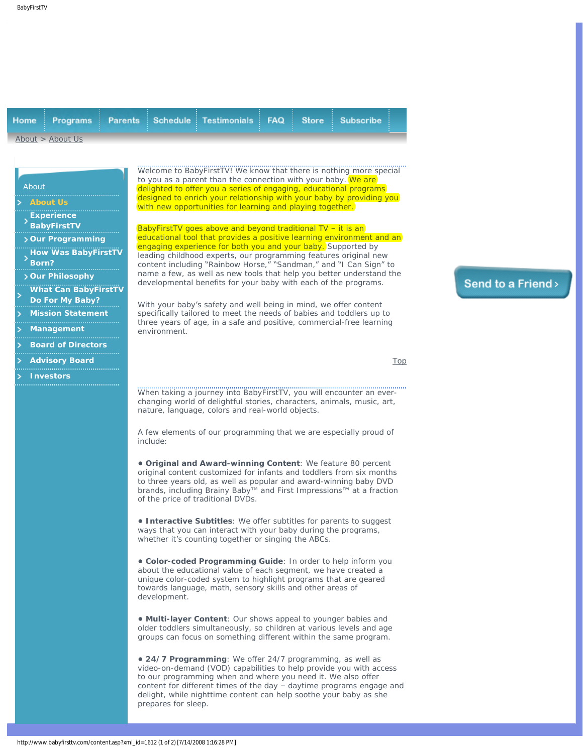<span id="page-0-0"></span>

|                    |  |  |  | <b>Home Programs Parents Schedule Testimonials FAQ Store Subscribe i</b> |  |  |  |  |
|--------------------|--|--|--|--------------------------------------------------------------------------|--|--|--|--|
| About $>$ About Us |  |  |  |                                                                          |  |  |  |  |

## <span id="page-0-1"></span>About **[Experience](#page-0-1)**   $\rightarrow$ **[BabyFirstTV](#page-0-1) [Our Programming](#page-0-2) [How Was BabyFirstTV](#page-1-0)  [Born?](#page-1-0) [Our Philosophy](#page-1-1) [What Can BabyFirstTV](http://www.babyfirsttv.com/content.asp?xml_id=1785) [Do For My Baby?](http://www.babyfirsttv.com/content.asp?xml_id=1785) [Mission Statement](http://www.babyfirsttv.com/content.asp?xml_id=1574) [Management](http://www.babyfirsttv.com/content.asp?xml_id=1589) [Board of Directors](http://www.babyfirsttv.com/content.asp?xml_id=1718)**

**[Advisory Board](http://www.babyfirsttv.com/content.asp?xml_id=1719)**

- 
- <span id="page-0-2"></span>**[Investors](http://www.babyfirsttv.com/content.asp?xml_id=1735)**

Welcome to BabyFirstTV! We know that there is nothing more special to you as a parent than the connection with your baby. We are delighted to offer you a series of engaging, educational programs designed to enrich your relationship with your baby by providing you with new opportunities for learning and playing together.

BabyFirstTV goes above and beyond traditional TV – it is an educational tool that provides a positive learning environment and an engaging experience for both you and your baby. Supported by leading childhood experts, our programming features original new content including "Rainbow Horse," "Sandman," and "I Can Sign" to name a few, as well as new tools that help you better understand the developmental benefits for your baby with each of the programs.

With your baby's safety and well being in mind, we offer content specifically tailored to meet the needs of babies and toddlers up to three years of age, in a safe and positive, commercial-free learning environment.

[Top](#page-0-0)

Send to a Friend>

When taking a journey into BabyFirstTV, you will encounter an everchanging world of delightful stories, characters, animals, music, art, nature, language, colors and real-world objects.

A few elements of our programming that we are especially proud of include:

**• Original and Award-winning Content**: We feature 80 percent original content customized for infants and toddlers from six months to three years old, as well as popular and award-winning baby DVD brands, including Brainy Baby™ and First Impressions™ at a fraction of the price of traditional DVDs.

**• Interactive Subtitles**: We offer subtitles for parents to suggest ways that you can interact with your baby during the programs, whether it's counting together or singing the ABCs.

**• Color-coded Programming Guide**: In order to help inform you about the educational value of each segment, we have created a unique color-coded system to highlight programs that are geared towards language, math, sensory skills and other areas of development.

**• Multi-layer Content**: Our shows appeal to younger babies and older toddlers simultaneously, so children at various levels and age groups can focus on something different within the same program.

**• 24/7 Programming**: We offer 24/7 programming, as well as video-on-demand (VOD) capabilities to help provide you with access to our programming when and where you need it. We also offer content for different times of the day – daytime programs engage and delight, while nighttime content can help soothe your baby as she prepares for sleep.